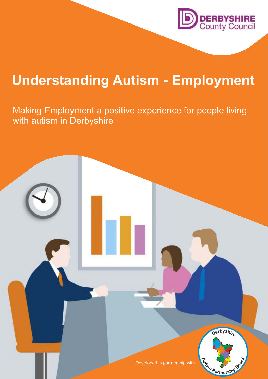

# **Understanding Autism - Employment**

Making Employment a positive experience for people living with autism in Derbyshire

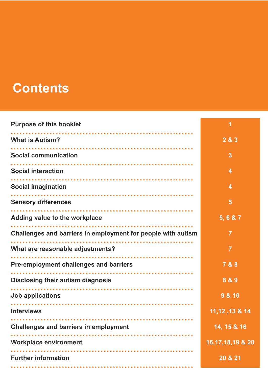## **Contents**

| <b>Purpose of this booklet</b>                               |                     |
|--------------------------------------------------------------|---------------------|
| <b>What is Autism?</b>                                       | 2 & 3               |
| <b>Social communication</b>                                  | $\overline{3}$      |
| <b>Social interaction</b>                                    | 4                   |
| <b>Social imagination</b>                                    | 4                   |
| <b>Sensory differences</b>                                   | 5                   |
| Adding value to the workplace                                | 5, 6 & 7            |
| Challenges and barriers in employment for people with autism | $\overline{7}$      |
| What are reasonable adjustments?                             | $\overline{7}$      |
| <b>Pre-employment challenges and barriers</b>                | 7 & 8               |
| <b>Disclosing their autism diagnosis</b><br>.                | 8 & 9               |
| <b>Job applications</b>                                      | 9 & 10              |
| <b>Interviews</b>                                            | 11, 12, 13 & 14     |
| <b>Challenges and barriers in employment</b>                 | 14, 15 & 16         |
| <b>Workplace environment</b>                                 | 16, 17, 18, 19 & 20 |
| <b>Further information</b>                                   | 20 & 21             |
|                                                              |                     |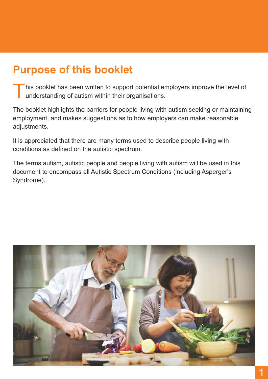## **Purpose of this booklet**

T his booklet has been written to support potential employers improve the level of understanding of autism within their organisations.

The booklet highlights the barriers for people living with autism seeking or maintaining employment, and makes suggestions as to how employers can make reasonable adjustments.

It is appreciated that there are many terms used to describe people living with conditions as defined on the autistic spectrum.

The terms autism, autistic people and people living with autism will be used in this document to encompass all Autistic Spectrum Conditions (including Asperger's Syndrome).

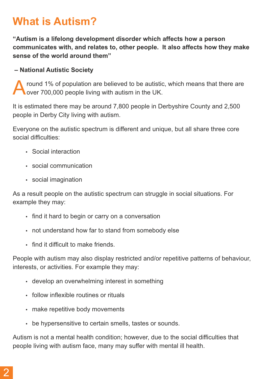### **What is Autism?**

**"Autism is a lifelong development disorder which affects how a person communicates with, and relates to, other people. It also affects how they make sense of the world around them"**

#### **– National Autistic Society**

A round 1% of population are believed to be autistic, which means that there are over 700,000 people living with autism in the UK.

It is estimated there may be around 7,800 people in Derbyshire County and 2,500 people in Derby City living with autism.

Everyone on the autistic spectrum is different and unique, but all share three core social difficulties:

- Social interaction
- $\cdot$  social communication
- social imagination

As a result people on the autistic spectrum can struggle in social situations. For example they may:

- find it hard to begin or carry on a conversation
- not understand how far to stand from somebody else
- find it difficult to make friends.

People with autism may also display restricted and/or repetitive patterns of behaviour, interests, or activities. For example they may:

- develop an overwhelming interest in something
- follow inflexible routines or rituals
- make repetitive body movements
- be hypersensitive to certain smells, tastes or sounds.

Autism is not a mental health condition; however, due to the social difficulties that people living with autism face, many may suffer with mental ill health.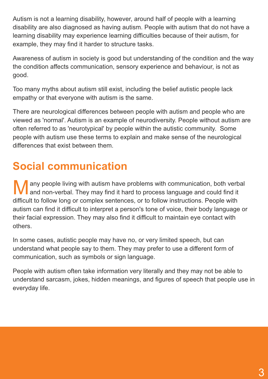Autism is not a learning disability, however, around half of people with a learning disability are also diagnosed as having autism. People with autism that do not have a learning disability may experience learning difficulties because of their autism, for example, they may find it harder to structure tasks.

Awareness of autism in society is good but understanding of the condition and the way the condition affects communication, sensory experience and behaviour, is not as good.

Too many myths about autism still exist, including the belief autistic people lack empathy or that everyone with autism is the same.

There are neurological differences between people with autism and people who are viewed as 'normal'. Autism is an example of neurodiversity. People without autism are often referred to as 'neurotypical' by people within the autistic community. Some people with autism use these terms to explain and make sense of the neurological differences that exist between them.

## **Social communication**

M any people living with autism have problems with communication, both verbal **l** and non-verbal. They may find it hard to process language and could find it difficult to follow long or complex sentences, or to follow instructions. People with autism can find it difficult to interpret a person's tone of voice, their body language or their facial expression. They may also find it difficult to maintain eye contact with others.

In some cases, autistic people may have no, or very limited speech, but can understand what people say to them. They may prefer to use a different form of communication, such as symbols or sign language.

People with autism often take information very literally and they may not be able to understand sarcasm, jokes, hidden meanings, and figures of speech that people use in everyday life.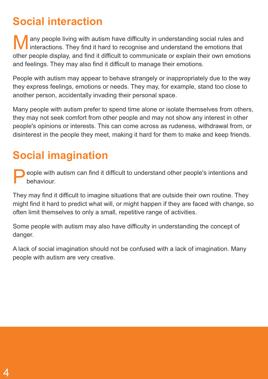## **Social interaction**

M any people living with autism have difficulty in understanding social rules and Interactions. They find it hard to recognise and understand the emotions that other people display, and find it difficult to communicate or explain their own emotions and feelings. They may also find it difficult to manage their emotions.

People with autism may appear to behave strangely or inappropriately due to the way they express feelings, emotions or needs. They may, for example, stand too close to another person, accidentally invading their personal space.

Many people with autism prefer to spend time alone or isolate themselves from others, they may not seek comfort from other people and may not show any interest in other people's opinions or interests. This can come across as rudeness, withdrawal from, or disinterest in the people they meet, making it hard for them to make and keep friends.

## **Social imagination**

P eople with autism can find it difficult to understand other people's intentions and behaviour.

They may find it difficult to imagine situations that are outside their own routine. They might find it hard to predict what will, or might happen if they are faced with change, so often limit themselves to only a small, repetitive range of activities.

Some people with autism may also have difficulty in understanding the concept of danger.

A lack of social imagination should not be confused with a lack of imagination. Many people with autism are very creative.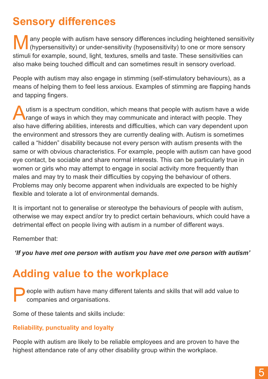## **Sensory differences**

M any people with autism have sensory differences including heightened sensitivity (hypersensitivity) or under-sensitivity (hyposensitivity) to one or more sensory stimuli for example, sound, light, textures, smells and taste. These sensitivities can also make being touched difficult and can sometimes result in sensory overload.

People with autism may also engage in stimming (self-stimulatory behaviours), as a means of helping them to feel less anxious. Examples of stimming are flapping hands and tapping fingers.

A utism is a spectrum condition, which means that people with autism have a wide **Trange of ways in which they may communicate and interact with people. They** also have differing abilities, interests and difficulties, which can vary dependent upon the environment and stressors they are currently dealing with. Autism is sometimes called a "hidden" disability because not every person with autism presents with the same or with obvious characteristics. For example, people with autism can have good eye contact, be sociable and share normal interests. This can be particularly true in women or girls who may attempt to engage in social activity more frequently than males and may try to mask their difficulties by copying the behaviour of others. Problems may only become apparent when individuals are expected to be highly flexible and tolerate a lot of environmental demands.

It is important not to generalise or stereotype the behaviours of people with autism, otherwise we may expect and/or try to predict certain behaviours, which could have a detrimental effect on people living with autism in a number of different ways.

Remember that:

 *'If you have met one person with autism you have met one person with autism'*

### **Adding value to the workplace**

P eople with autism have many different talents and skills that will add value to companies and organisations.

Some of these talents and skills include:

#### **Reliability, punctuality and loyalty**

People with autism are likely to be reliable employees and are proven to have the highest attendance rate of any other disability group within the workplace.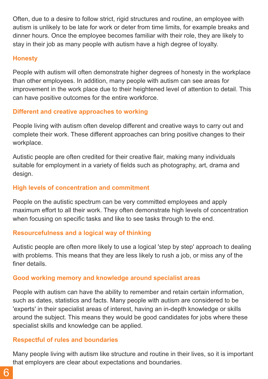Often, due to a desire to follow strict, rigid structures and routine, an employee with autism is unlikely to be late for work or deter from time limits, for example breaks and dinner hours. Once the employee becomes familiar with their role, they are likely to stay in their job as many people with autism have a high degree of loyalty.

#### **Honesty**

People with autism will often demonstrate higher degrees of honesty in the workplace than other employees. In addition, many people with autism can see areas for improvement in the work place due to their heightened level of attention to detail. This can have positive outcomes for the entire workforce.

#### **Different and creative approaches to working**

People living with autism often develop different and creative ways to carry out and complete their work. These different approaches can bring positive changes to their workplace.

Autistic people are often credited for their creative flair, making many individuals suitable for employment in a variety of fields such as photography, art, drama and design.

#### **High levels of concentration and commitment**

People on the autistic spectrum can be very committed employees and apply maximum effort to all their work. They often demonstrate high levels of concentration when focusing on specific tasks and like to see tasks through to the end.

#### **Resourcefulness and a logical way of thinking**

Autistic people are often more likely to use a logical 'step by step' approach to dealing with problems. This means that they are less likely to rush a job, or miss any of the finer details.

#### **Good working memory and knowledge around specialist areas**

People with autism can have the ability to remember and retain certain information, such as dates, statistics and facts. Many people with autism are considered to be 'experts' in their specialist areas of interest, having an in-depth knowledge or skills around the subject. This means they would be good candidates for jobs where these specialist skills and knowledge can be applied.

#### **Respectful of rules and boundaries**

Many people living with autism like structure and routine in their lives, so it is important that employers are clear about expectations and boundaries.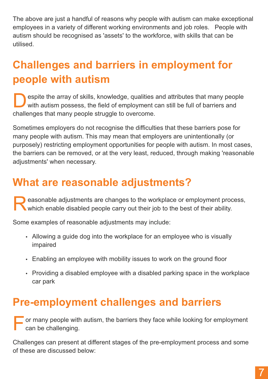The above are just a handful of reasons why people with autism can make exceptional employees in a variety of different working environments and job roles. People with autism should be recognised as 'assets' to the workforce, with skills that can be utilised.

## **Challenges and barriers in employment for people with autism**

D espite the array of skills, knowledge, qualities and attributes that many people with autism possess, the field of employment can still be full of barriers and challenges that many people struggle to overcome.

Sometimes employers do not recognise the difficulties that these barriers pose for many people with autism. This may mean that employers are unintentionally (or purposely) restricting employment opportunities for people with autism. In most cases, the barriers can be removed, or at the very least, reduced, through making 'reasonable adjustments' when necessary.

## **What are reasonable adjustments?**

Reasonable adjustments are changes to the workplace or employment process which enable disabled people carry out their job to the best of their ability. easonable adjustments are changes to the workplace or employment process,

Some examples of reasonable adjustments may include:

- Allowing a guide dog into the workplace for an employee who is visually impaired
- Enabling an employee with mobility issues to work on the ground floor
- Providing a disabled employee with a disabled parking space in the workplace car park

### **Pre-employment challenges and barriers**

For many people with autism, the barriers they face while looking for employment can be challenging. can be challenging.

Challenges can present at different stages of the pre-employment process and some of these are discussed below: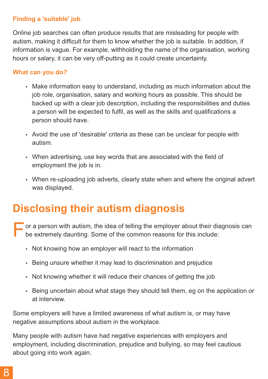#### **Finding a 'suitable' job**

Online job searches can often produce results that are misleading for people with autism, making it difficult for them to know whether the job is suitable. In addition, if information is vague. For example, withholding the name of the organisation, working hours or salary, it can be very off-putting as it could create uncertainty.

#### **What can you do?**

- Make information easy to understand, including as much information about the job role, organisation, salary and working hours as possible. This should be backed up with a clear job description, including the responsibilities and duties a person will be expected to fulfil, as well as the skills and qualifications a person should have.
- Avoid the use of 'desirable' criteria as these can be unclear for people with autism.
- When advertising, use key words that are associated with the field of employment the job is in.
- When re-uploading job adverts, clearly state when and where the original advert was displayed.

## **Disclosing their autism diagnosis**

- F or a person with autism, the idea of telling the employer about their diagnosis can be extremely daunting. Some of the common reasons for this include:
	- Not knowing how an employer will react to the information
	- Being unsure whether it may lead to discrimination and prejudice
	- Not knowing whether it will reduce their chances of getting the job
	- Being uncertain about what stage they should tell them, eg on the application or at interview.

Some employers will have a limited awareness of what autism is, or may have negative assumptions about autism in the workplace.

Many people with autism have had negative experiences with employers and employment, including discrimination, prejudice and bullying, so may feel cautious about going into work again.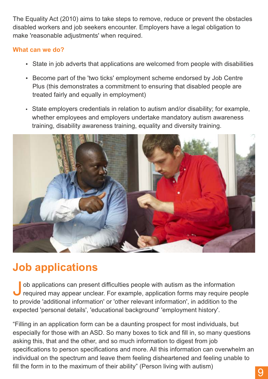The Equality Act (2010) aims to take steps to remove, reduce or prevent the obstacles disabled workers and job seekers encounter. Employers have a legal obligation to make 'reasonable adjustments' when required.

#### **What can we do?**

- State in job adverts that applications are welcomed from people with disabilities
- Become part of the 'two ticks' employment scheme endorsed by Job Centre Plus (this demonstrates a commitment to ensuring that disabled people are treated fairly and equally in employment)
- State employers credentials in relation to autism and/or disability; for example, whether employees and employers undertake mandatory autism awareness training, disability awareness training, equality and diversity training.



## **Job applications**

Job applications can present difficulties people with autism as the information<br>required may appear unclear. For example, application forms may require people ob applications can present difficulties people with autism as the information to provide 'additional information' or 'other relevant information', in addition to the expected 'personal details', 'educational background' 'employment history'.

"Filling in an application form can be a daunting prospect for most individuals, but especially for those with an ASD. So many boxes to tick and fill in, so many questions asking this, that and the other, and so much information to digest from job specifications to person specifications and more. All this information can overwhelm an individual on the spectrum and leave them feeling disheartened and feeling unable to fill the form in to the maximum of their ability" (Person living with autism) 9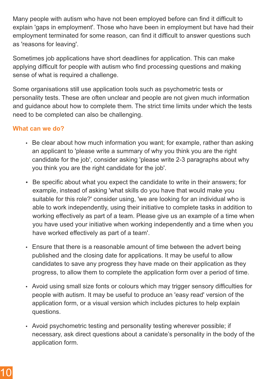Many people with autism who have not been employed before can find it difficult to explain 'gaps in employment'. Those who have been in employment but have had their employment terminated for some reason, can find it difficult to answer questions such as 'reasons for leaving'.

Sometimes job applications have short deadlines for application. This can make applying difficult for people with autism who find processing questions and making sense of what is required a challenge.

Some organisations still use application tools such as psychometric tests or personality tests. These are often unclear and people are not given much information and guidance about how to complete them. The strict time limits under which the tests need to be completed can also be challenging.

#### **What can we do?**

- Be clear about how much information you want; for example, rather than asking an applicant to 'please write a summary of why you think you are the right candidate for the job', consider asking 'please write 2-3 paragraphs about why you think you are the right candidate for the job'.
- Be specific about what you expect the candidate to write in their answers; for example, instead of asking 'what skills do you have that would make you suitable for this role?' consider using, 'we are looking for an individual who is able to work independently, using their initiative to complete tasks in addition to working effectively as part of a team. Please give us an example of a time when you have used your initiative when working independently and a time when you have worked effectively as part of a team'.
- Ensure that there is a reasonable amount of time between the advert being published and the closing date for applications. It may be useful to allow candidates to save any progress they have made on their application as they progress, to allow them to complete the application form over a period of time.
- Avoid using small size fonts or colours which may trigger sensory difficulties for people with autism. It may be useful to produce an 'easy read' version of the application form, or a visual version which includes pictures to help explain questions.
- Avoid psychometric testing and personality testing wherever possible; if necessary, ask direct questions about a canidate's personality in the body of the application form.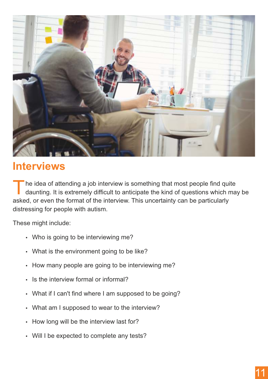

### **Interviews**

T he idea of attending a job interview is something that most people find quite daunting. It is extremely difficult to anticipate the kind of questions which may be asked, or even the format of the interview. This uncertainty can be particularly distressing for people with autism.

These might include:

- Who is going to be interviewing me?
- What is the environment going to be like?
- How many people are going to be interviewing me?
- Is the interview formal or informal?
- What if I can't find where I am supposed to be going?
- What am I supposed to wear to the interview?
- How long will be the interview last for?
- Will I be expected to complete any tests?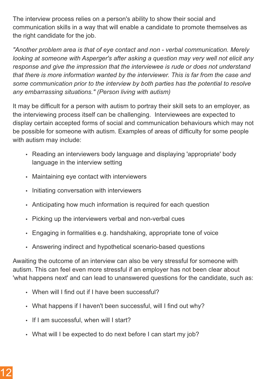The interview process relies on a person's ability to show their social and communication skills in a way that will enable a candidate to promote themselves as the right candidate for the job.

*"Another problem area is that of eye contact and non - verbal communication. Merely looking at someone with Asperger's after asking a question may very well not elicit any response and give the impression that the interviewee is rude or does not understand that there is more information wanted by the interviewer. This is far from the case and some communication prior to the interview by both parties has the potential to resolve any embarrassing situations." (Person living with autism)*

It may be difficult for a person with autism to portray their skill sets to an employer, as the interviewing process itself can be challenging. Interviewees are expected to display certain accepted forms of social and communication behaviours which may not be possible for someone with autism. Examples of areas of difficulty for some people with autism may include:

- Reading an interviewers body language and displaying 'appropriate' body language in the interview setting
- Maintaining eye contact with interviewers
- Initiating conversation with interviewers
- Anticipating how much information is required for each question
- Picking up the interviewers verbal and non-verbal cues
- Engaging in formalities e.g. handshaking, appropriate tone of voice
- Answering indirect and hypothetical scenario-based questions

Awaiting the outcome of an interview can also be very stressful for someone with autism. This can feel even more stressful if an employer has not been clear about 'what happens next' and can lead to unanswered questions for the candidate, such as:

- When will I find out if I have been successful?
- What happens if I haven't been successful, will I find out why?
- If I am successful, when will I start?
- What will I be expected to do next before I can start my job?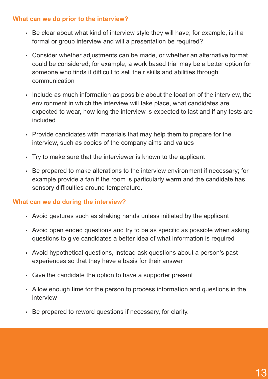#### **What can we do prior to the interview?**

- Be clear about what kind of interview style they will have; for example, is it a formal or group interview and will a presentation be required?
- Consider whether adjustments can be made, or whether an alternative format could be considered; for example, a work based trial may be a better option for someone who finds it difficult to sell their skills and abilities through communication
- Include as much information as possible about the location of the interview, the environment in which the interview will take place, what candidates are expected to wear, how long the interview is expected to last and if any tests are included
- Provide candidates with materials that may help them to prepare for the interview, such as copies of the company aims and values
- Try to make sure that the interviewer is known to the applicant
- Be prepared to make alterations to the interview environment if necessary; for example provide a fan if the room is particularly warm and the candidate has sensory difficulties around temperature.

#### **What can we do during the interview?**

- Avoid gestures such as shaking hands unless initiated by the applicant
- Avoid open ended questions and try to be as specific as possible when asking questions to give candidates a better idea of what information is required
- Avoid hypothetical questions, instead ask questions about a person's past experiences so that they have a basis for their answer
- Give the candidate the option to have a supporter present
- Allow enough time for the person to process information and questions in the interview
- Be prepared to reword questions if necessary, for clarity.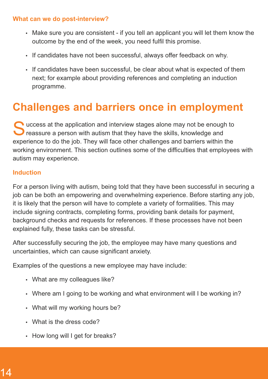#### **What can we do post-interview?**

- Make sure you are consistent if you tell an applicant you will let them know the outcome by the end of the week, you need fulfil this promise.
- If candidates have not been successful, always offer feedback on why.
- If candidates have been successful, be clear about what is expected of them next; for example about providing references and completing an induction programme.

### **Challenges and barriers once in employment**

Success at the application and interview stages alone may not be enough to reassure a person with autism that they have the skills, knowledge and **P** reassure a person with autism that they have the skills, knowledge and experience to do the job. They will face other challenges and barriers within the working environment. This section outlines some of the difficulties that employees with autism may experience.

#### **Induction**

For a person living with autism, being told that they have been successful in securing a job can be both an empowering and overwhelming experience. Before starting any job, it is likely that the person will have to complete a variety of formalities. This may include signing contracts, completing forms, providing bank details for payment, background checks and requests for references. If these processes have not been explained fully, these tasks can be stressful.

After successfully securing the job, the employee may have many questions and uncertainties, which can cause significant anxiety.

Examples of the questions a new employee may have include:

- What are my colleagues like?
- Where am I going to be working and what environment will I be working in?
- What will my working hours be?
- What is the dress code?
- $\cdot$  How long will I get for breaks?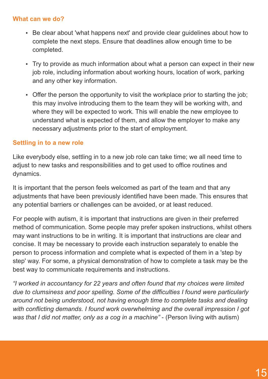#### **What can we do?**

- Be clear about 'what happens next' and provide clear quidelines about how to complete the next steps. Ensure that deadlines allow enough time to be completed.
- Try to provide as much information about what a person can expect in their new job role, including information about working hours, location of work, parking and any other key information.
- Offer the person the opportunity to visit the workplace prior to starting the job; this may involve introducing them to the team they will be working with, and where they will be expected to work. This will enable the new employee to understand what is expected of them, and allow the employer to make any necessary adjustments prior to the start of employment.

#### **Settling in to a new role**

Like everybody else, settling in to a new job role can take time; we all need time to adjust to new tasks and responsibilities and to get used to office routines and dynamics.

It is important that the person feels welcomed as part of the team and that any adjustments that have been previously identified have been made. This ensures that any potential barriers or challenges can be avoided, or at least reduced.

For people with autism, it is important that instructions are given in their preferred method of communication. Some people may prefer spoken instructions, whilst others may want instructions to be in writing. It is important that instructions are clear and concise. It may be necessary to provide each instruction separately to enable the person to process information and complete what is expected of them in a 'step by step' way. For some, a physical demonstration of how to complete a task may be the best way to communicate requirements and instructions.

*"I worked in accountancy for 22 years and often found that my choices were limited due to clumsiness and poor spelling. Some of the difficulties I found were particularly around not being understood, not having enough time to complete tasks and dealing with conflicting demands. I found work overwhelming and the overall impression I got was that I did not matter, only as a cog in a machine"* - (Person living with autism)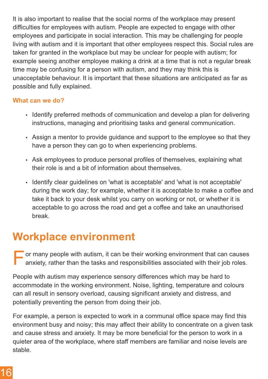It is also important to realise that the social norms of the workplace may present difficulties for employees with autism. People are expected to engage with other employees and participate in social interaction. This may be challenging for people living with autism and it is important that other employees respect this. Social rules are taken for granted in the workplace but may be unclear for people with autism; for example seeing another employee making a drink at a time that is not a regular break time may be confusing for a person with autism, and they may think this is unacceptable behaviour. It is important that these situations are anticipated as far as possible and fully explained.

#### **What can we do?**

- Identify preferred methods of communication and develop a plan for delivering instructions, managing and prioritising tasks and general communication.
- Assign a mentor to provide guidance and support to the employee so that they have a person they can go to when experiencing problems.
- Ask employees to produce personal profiles of themselves, explaining what their role is and a bit of information about themselves.
- Identify clear guidelines on 'what is acceptable' and 'what is not acceptable' during the work day; for example, whether it is acceptable to make a coffee and take it back to your desk whilst you carry on working or not, or whether it is acceptable to go across the road and get a coffee and take an unauthorised break.

### **Workplace environment**

F or many people with autism, it can be their working environment that can causes anxiety, rather than the tasks and responsibilities associated with their job roles.

People with autism may experience sensory differences which may be hard to accommodate in the working environment. Noise, lighting, temperature and colours can all result in sensory overload, causing significant anxiety and distress, and potentially preventing the person from doing their job.

For example, a person is expected to work in a communal office space may find this environment busy and noisy; this may affect their ability to concentrate on a given task and cause stress and anxiety. It may be more beneficial for the person to work in a quieter area of the workplace, where staff members are familiar and noise levels are stable.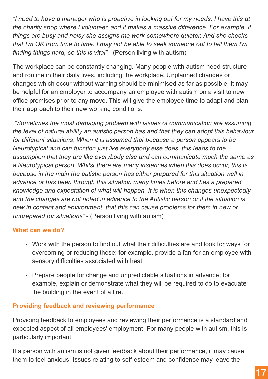*"I need to have a manager who is proactive in looking out for my needs. I have this at the charity shop where I volunteer, and it makes a massive difference. For example, if things are busy and noisy she assigns me work somewhere quieter. And she checks that I'm OK from time to time. I may not be able to seek someone out to tell them I'm finding things hard, so this is vital"* - (Person living with autism)

The workplace can be constantly changing. Many people with autism need structure and routine in their daily lives, including the workplace. Unplanned changes or changes which occur without warning should be minimised as far as possible. It may be helpful for an employer to accompany an employee with autism on a visit to new office premises prior to any move. This will give the employee time to adapt and plan their approach to their new working conditions.

*"Sometimes the most damaging problem with issues of communication are assuming the level of natural ability an autistic person has and that they can adopt this behaviour for different situations. When it is assumed that because a person appears to be Neurotypical and can function just like everybody else does, this leads to the assumption that they are like everybody else and can communicate much the same as a Neurotypical person. Whilst there are many instances when this does occur, this is because in the main the autistic person has either prepared for this situation well in advance or has been through this situation many times before and has a prepared knowledge and expectation of what will happen. It is when this changes unexpectedly and the changes are not noted in advance to the Autistic person or if the situation is new in content and environment, that this can cause problems for them in new or unprepared for situations"* - (Person living with autism)

#### **What can we do?**

- Work with the person to find out what their difficulties are and look for ways for overcoming or reducing these; for example, provide a fan for an employee with sensory difficulties associated with heat.
- Prepare people for change and unpredictable situations in advance; for example, explain or demonstrate what they will be required to do to evacuate the building in the event of a fire.

#### **Providing feedback and reviewing performance**

Providing feedback to employees and reviewing their performance is a standard and expected aspect of all employees' employment. For many people with autism, this is particularly important.

If a person with autism is not given feedback about their performance, it may cause them to feel anxious. Issues relating to self-esteem and confidence may leave the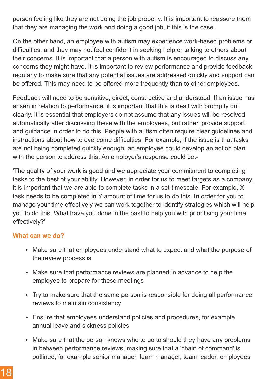person feeling like they are not doing the job properly. It is important to reassure them that they are managing the work and doing a good job, if this is the case.

On the other hand, an employee with autism may experience work-based problems or difficulties, and they may not feel confident in seeking help or talking to others about their concerns. It is important that a person with autism is encouraged to discuss any concerns they might have. It is important to review performance and provide feedback regularly to make sure that any potential issues are addressed quickly and support can be offered. This may need to be offered more frequently than to other employees.

Feedback will need to be sensitive, direct, constructive and understood. If an issue has arisen in relation to performance, it is important that this is dealt with promptly but clearly. It is essential that employers do not assume that any issues will be resolved automatically after discussing these with the employees, but rather, provide support and guidance in order to do this. People with autism often require clear guidelines and instructions about how to overcome difficulties. For example, if the issue is that tasks are not being completed quickly enough, an employee could develop an action plan with the person to address this. An employer's response could be:-

'The quality of your work is good and we appreciate your commitment to completing tasks to the best of your ability. However, in order for us to meet targets as a company, it is important that we are able to complete tasks in a set timescale. For example, X task needs to be completed in Y amount of time for us to do this. In order for you to manage your time effectively we can work together to identify strategies which will help you to do this. What have you done in the past to help you with prioritising your time effectively?'

#### **What can we do?**

- Make sure that employees understand what to expect and what the purpose of the review process is
- Make sure that performance reviews are planned in advance to help the employee to prepare for these meetings
- Try to make sure that the same person is responsible for doing all performance reviews to maintain consistency
- Ensure that employees understand policies and procedures, for example annual leave and sickness policies
- Make sure that the person knows who to go to should they have any problems in between performance reviews, making sure that a 'chain of command' is outlined, for example senior manager, team manager, team leader, employees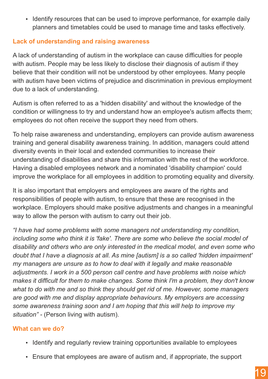• Identify resources that can be used to improve performance, for example daily planners and timetables could be used to manage time and tasks effectively.

#### **Lack of understanding and raising awareness**

A lack of understanding of autism in the workplace can cause difficulties for people with autism. People may be less likely to disclose their diagnosis of autism if they believe that their condition will not be understood by other employees. Many people with autism have been victims of prejudice and discrimination in previous employment due to a lack of understanding.

Autism is often referred to as a 'hidden disability' and without the knowledge of the condition or willingness to try and understand how an employee's autism affects them; employees do not often receive the support they need from others.

To help raise awareness and understanding, employers can provide autism awareness training and general disability awareness training. In addition, managers could attend diversity events in their local and extended communities to increase their understanding of disabilities and share this information with the rest of the workforce. Having a disabled employees network and a nominated 'disability champion' could improve the workplace for all employees in addition to promoting equality and diversity.

It is also important that employers and employees are aware of the rights and responsibilities of people with autism, to ensure that these are recognised in the workplace. Employers should make positive adjustments and changes in a meaningful way to allow the person with autism to carry out their job.

*"I have had some problems with some managers not understanding my condition, including some who think it is 'fake'. There are some who believe the social model of disability and others who are only interested in the medical model, and even some who doubt that I have a diagnosis at all. As mine [autism] is a so called 'hidden impairment' my managers are unsure as to how to deal with it legally and make reasonable adjustments. I work in a 500 person call centre and have problems with noise which makes it difficult for them to make changes. Some think I'm a problem, they don't know what to do with me and so think they should get rid of me. However, some managers are good with me and display appropriate behaviours. My employers are accessing some awareness training soon and I am hoping that this will help to improve my situation" -* (Person living with autism)*.*

#### **What can we do?**

- Identify and regularly review training opportunities available to employees
- Ensure that employees are aware of autism and, if appropriate, the support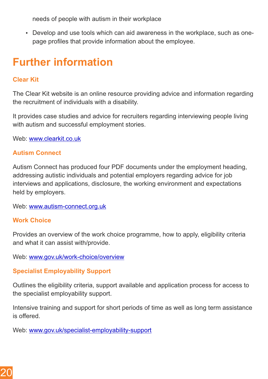needs of people with autism in their workplace

• Develop and use tools which can aid awareness in the workplace, such as onepage profiles that provide information about the employee.

### **Further information**

#### **Clear Kit**

The Clear Kit website is an online resource providing advice and information regarding the recruitment of individuals with a disability.

It provides case studies and advice for recruiters regarding interviewing people living with autism and successful employment stories.

Web: [www.clearkit.co.uk](http://www.clearkit.co.uk) 

#### **Autism Connect**

Autism Connect has produced four PDF documents under the employment heading, addressing autistic individuals and potential employers regarding advice for job interviews and applications, disclosure, the working environment and expectations held by employers.

Web: [www.autism-connect.org.uk](http://www.autism-connect.org.uk) 

#### **Work Choice**

Provides an overview of the work choice programme, how to apply, eligibility criteria and what it can assist with/provide.

Web: [www.gov.uk/work-choice/overview](http://www.gov.uk/work-choice/overview) 

#### **Specialist Employability Support**

Outlines the eligibility criteria, support available and application process for access to the specialist employability support.

Intensive training and support for short periods of time as well as long term assistance is offered.

Web: [www.gov.uk/specialist-employability-support](http://www.gov.uk/specialist-employability-support)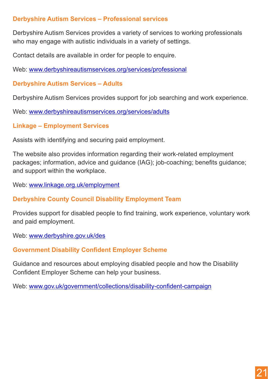#### **Derbyshire Autism Services – Professional services**

Derbyshire Autism Services provides a variety of services to working professionals who may engage with autistic individuals in a variety of settings.

Contact details are available in order for people to enquire.

Web: [www.derbyshireautismservices.org/services/professional](http://www.derbyshireautismservices.org/services/professional)

#### **Derbyshire Autism Services – Adults**

Derbyshire Autism Services provides support for job searching and work experience.

Web: [www.derbyshireautismservices.org/services/adults](http://www.derbyshireautismservices.org/services/adults)

**Linkage – Employment Services**

Assists with identifying and securing paid employment.

The website also provides information regarding their work-related employment packages; information, advice and guidance (IAG); job-coaching; benefits guidance; and support within the workplace.

Web: [www.linkage.org.uk/employment](http://www.linkage.org.uk/employment) 

#### **Derbyshire County Council Disability Employment Team**

Provides support for disabled people to find training, work experience, voluntary work and paid employment.

Web: [www.derbyshire.gov.uk/des](http://www.derbyshire.gov.uk/des)

#### **Government Disability Confident Employer Scheme**

Guidance and resources about employing disabled people and how the Disability Confident Employer Scheme can help your business.

Web: [www.gov.uk/government/collections/disability-confident-campaign](http://www.gov.uk/government/collections/disability-confident-campaign)